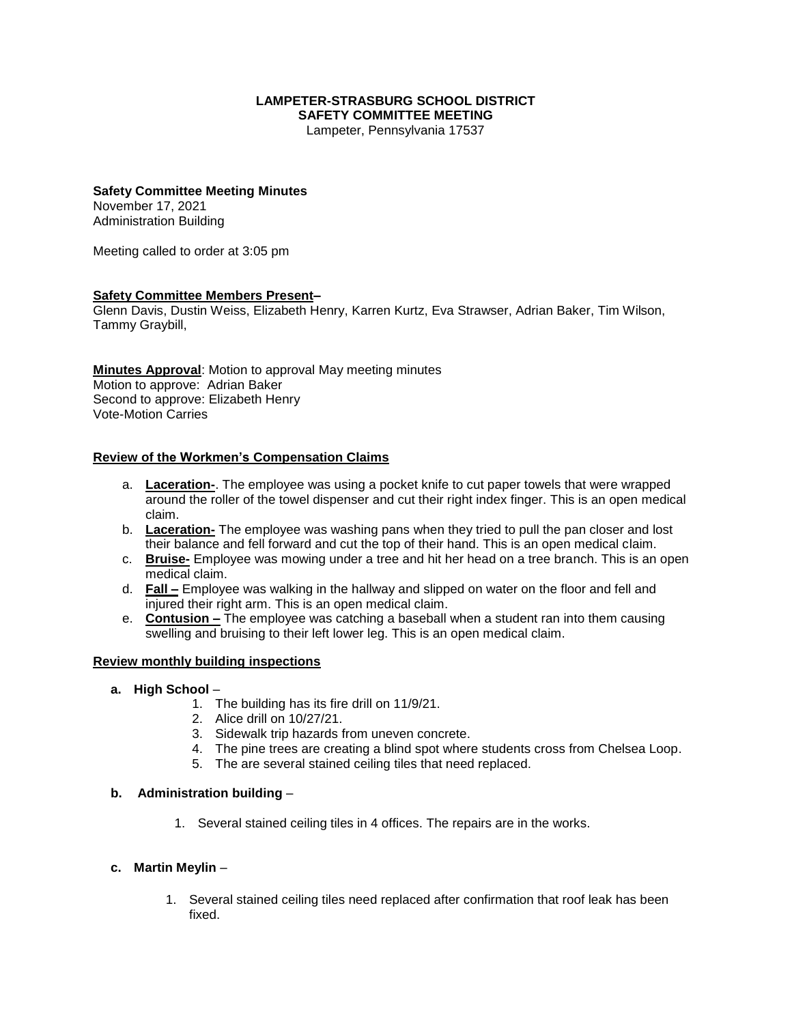#### **LAMPETER-STRASBURG SCHOOL DISTRICT SAFETY COMMITTEE MEETING**

Lampeter, Pennsylvania 17537

#### **Safety Committee Meeting Minutes**

November 17, 2021 Administration Building

Meeting called to order at 3:05 pm

## **Safety Committee Members Present–**

Glenn Davis, Dustin Weiss, Elizabeth Henry, Karren Kurtz, Eva Strawser, Adrian Baker, Tim Wilson, Tammy Graybill,

**Minutes Approval**: Motion to approval May meeting minutes Motion to approve: Adrian Baker Second to approve: Elizabeth Henry Vote-Motion Carries

## **Review of the Workmen's Compensation Claims**

- a. **Laceration-**. The employee was using a pocket knife to cut paper towels that were wrapped around the roller of the towel dispenser and cut their right index finger. This is an open medical claim.
- b. **Laceration-** The employee was washing pans when they tried to pull the pan closer and lost their balance and fell forward and cut the top of their hand. This is an open medical claim.
- c. **Bruise-** Employee was mowing under a tree and hit her head on a tree branch. This is an open medical claim.
- d. **Fall –** Employee was walking in the hallway and slipped on water on the floor and fell and injured their right arm. This is an open medical claim.
- e. **Contusion –** The employee was catching a baseball when a student ran into them causing swelling and bruising to their left lower leg. This is an open medical claim.

#### **Review monthly building inspections**

- **a. High School**
	- 1. The building has its fire drill on 11/9/21.
	- 2. Alice drill on 10/27/21.
	- 3. Sidewalk trip hazards from uneven concrete.
	- 4. The pine trees are creating a blind spot where students cross from Chelsea Loop.
	- 5. The are several stained ceiling tiles that need replaced.

#### **b. Administration building** –

1. Several stained ceiling tiles in 4 offices. The repairs are in the works.

#### **c. Martin Meylin** –

1. Several stained ceiling tiles need replaced after confirmation that roof leak has been fixed.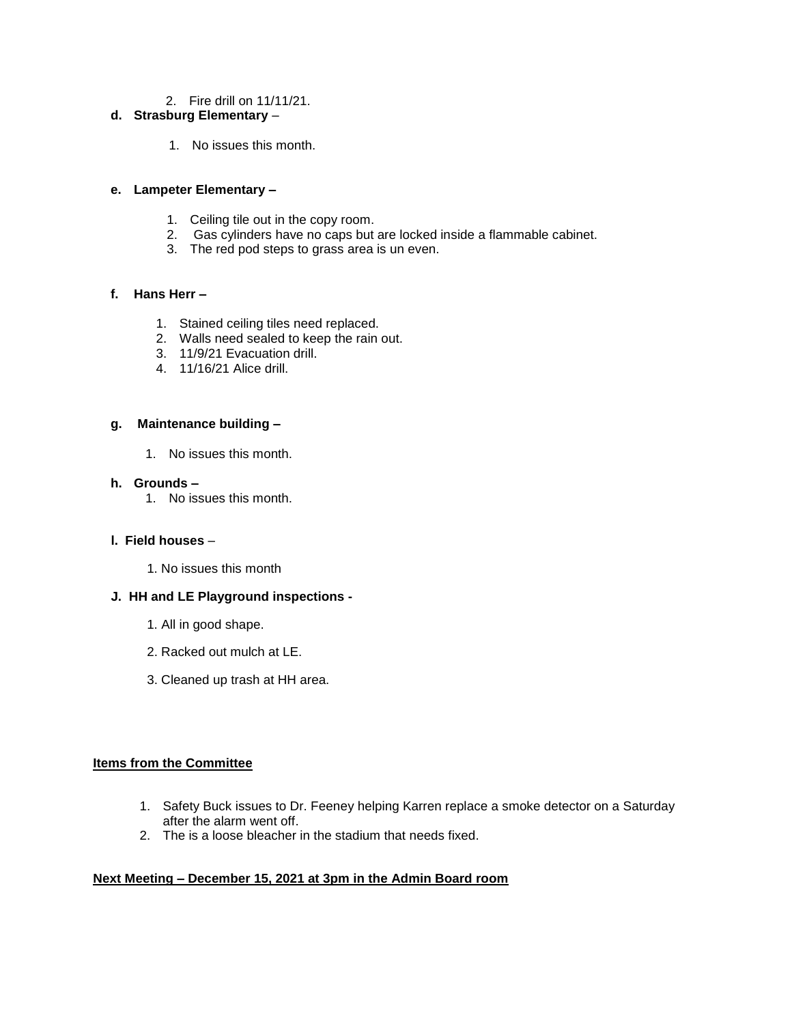2. Fire drill on 11/11/21.

# **d. Strasburg Elementary** –

1. No issues this month.

## **e. Lampeter Elementary –**

- 1. Ceiling tile out in the copy room.
- 2. Gas cylinders have no caps but are locked inside a flammable cabinet.
- 3. The red pod steps to grass area is un even.

## **f. Hans Herr –**

- 1. Stained ceiling tiles need replaced.
- 2. Walls need sealed to keep the rain out.
- 3. 11/9/21 Evacuation drill.
- 4. 11/16/21 Alice drill.

## **g. Maintenance building –**

1. No issues this month.

#### **h. Grounds –**

1. No issues this month.

## **l. Field houses** –

1. No issues this month

## **J. HH and LE Playground inspections -**

- 1. All in good shape.
- 2. Racked out mulch at LE.
- 3. Cleaned up trash at HH area.

## **Items from the Committee**

- 1. Safety Buck issues to Dr. Feeney helping Karren replace a smoke detector on a Saturday after the alarm went off.
- 2. The is a loose bleacher in the stadium that needs fixed.

## **Next Meeting – December 15, 2021 at 3pm in the Admin Board room**